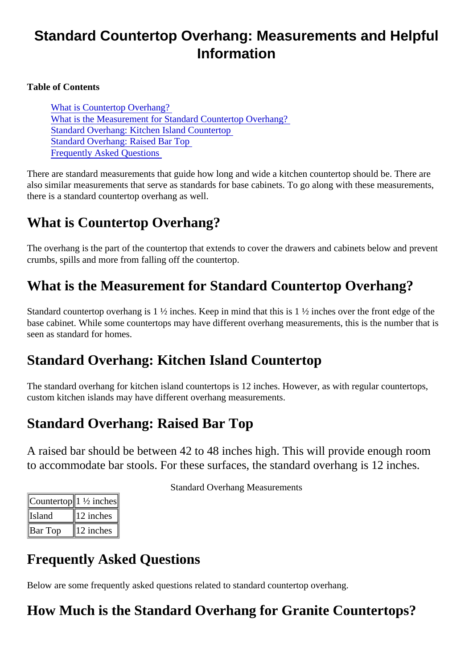# Standard Countertop Overhang: Measurements and Helpful Information

Table of Contents

What is Countertop Overhang? What is the Measurement for Standard Countertop Overhang? Standard Overhang: Kitchen Island Countertop Standard Overhang: Raised Bar Top Frequently Asked Questions

There are standard measurements that guide how long and wide a kitchen countertop should be. There are also similar measurements that serve as standards for base cabinets. To go along with these measureme there is a standard countertop overhang as well.

# What is Countertop Overhang?

The overhang is the part of the countertop that extends to cover the drawers and cabinets below and prev crumbs, spills and more from falling off the countertop.

# What is the Measurement for Standard Countertop Overhang?

Standard countertop overhang is 1  $\frac{1}{2}$  inches. Keep in mind that this is 1  $\frac{1}{2}$  inches over the front edge of the base cabinet. While some countertops may have different overhang measurements, this is the number that seen as standard for homes.

#### Standard Overhang: Kitchen Island Countertop

The standard overhang for kitchen island countertops is 12 inches. However, as with regular countertops, custom kitchen islands may have different overhang measurements.

### Standard Overhang: Raised Bar Top

A raised bar should be between 42 to 48 inches high. This will provide enough room to accommodate bar stools. For these surfaces, the standard overhang is 12 inches.

| Counterton1 ½ inches |             |
|----------------------|-------------|
| llsland              | ∥12 inches∥ |
| <b>IBar Top</b>      | 12 inches   |

Standard Overhang Measurements

#### Frequently Asked Questions

Below are some frequently asked questions related to standard countertop overhang.

How Much is the Standard Overhang for Granite Countertops?